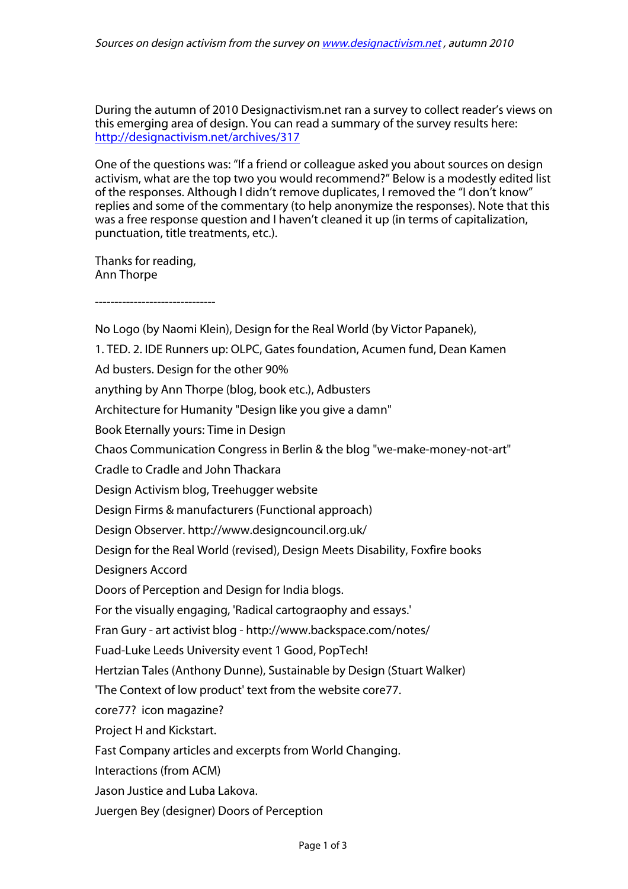During the autumn of 2010 Designactivism.net ran a survey to collect reader's views on this emerging area of design. You can read a summary of the survey results here: http://designactivism.net/archives/317

One of the questions was: "If a friend or colleague asked you about sources on design activism, what are the top two you would recommend?" Below is a modestly edited list of the responses. Although I didn't remove duplicates, I removed the "I don't know" replies and some of the commentary (to help anonymize the responses). Note that this was a free response question and I haven't cleaned it up (in terms of capitalization, punctuation, title treatments, etc.).

Thanks for reading, Ann Thorpe

-------------------------------

No Logo (by Naomi Klein), Design for the Real World (by Victor Papanek), 1. TED. 2. IDE Runners up: OLPC, Gates foundation, Acumen fund, Dean Kamen Ad busters. Design for the other 90% anything by Ann Thorpe (blog, book etc.), Adbusters Architecture for Humanity "Design like you give a damn" Book Eternally yours: Time in Design Chaos Communication Congress in Berlin & the blog "we-make-money-not-art" Cradle to Cradle and John Thackara Design Activism blog, Treehugger website Design Firms & manufacturers (Functional approach) Design Observer. http://www.designcouncil.org.uk/ Design for the Real World (revised), Design Meets Disability, Foxfire books Designers Accord Doors of Perception and Design for India blogs. For the visually engaging, 'Radical cartograophy and essays.' Fran Gury - art activist blog - http://www.backspace.com/notes/ Fuad-Luke Leeds University event 1 Good, PopTech! Hertzian Tales (Anthony Dunne), Sustainable by Design (Stuart Walker) 'The Context of low product' text from the website core77. core77? icon magazine? Project H and Kickstart. Fast Company articles and excerpts from World Changing. Interactions (from ACM) Jason Justice and Luba Lakova. Juergen Bey (designer) Doors of Perception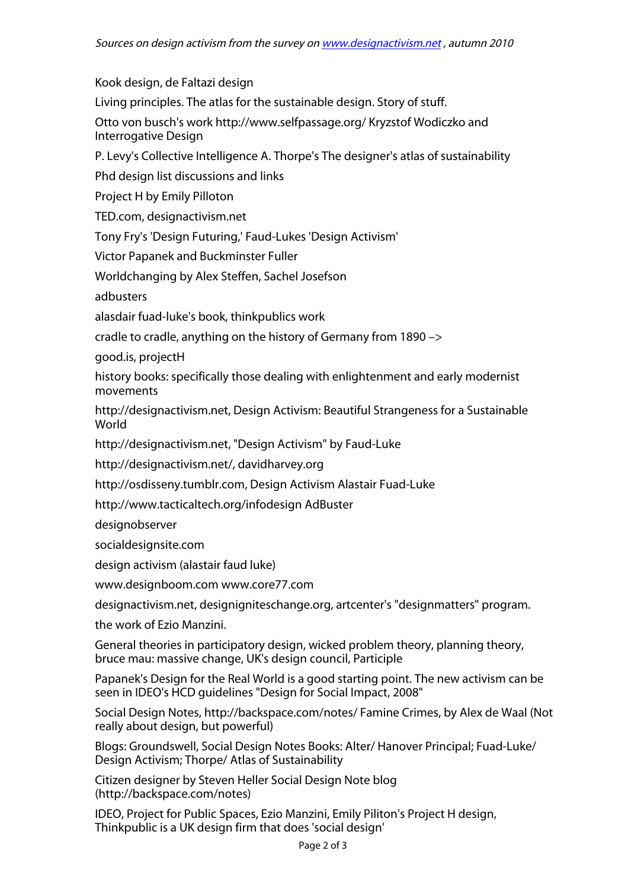Kook design, de Faltazi design

Living principles. The atlas for the sustainable design. Story of stuff.

Otto von busch's work http://www.selfpassage.org/ Kryzstof Wodiczko and Interrogative Design

P. Levy's Collective Intelligence A. Thorpe's The designer's atlas of sustainability

Phd design list discussions and links

Project H by Emily Pilloton

TED.com, designactivism.net

Tony Fry's 'Design Futuring,' Faud-Lukes 'Design Activism'

Victor Papanek and Buckminster Fuller

Worldchanging by Alex Steffen, Sachel Josefson

adbusters

alasdair fuad-luke's book, thinkpublics work

cradle to cradle, anything on the history of Germany from 1890 –>

good.is, projectH

history books: specifically those dealing with enlightenment and early modernist movements

http://designactivism.net, Design Activism: Beautiful Strangeness for a Sustainable World

http://designactivism.net, "Design Activism" by Faud-Luke

http://designactivism.net/, davidharvey.org

http://osdisseny.tumblr.com, Design Activism Alastair Fuad-Luke

http://www.tacticaltech.org/infodesign AdBuster

designobserver

socialdesignsite.com

design activism (alastair faud luke)

www.designboom.com www.core77.com

designactivism.net, designigniteschange.org, artcenter's "designmatters" program.

the work of Ezio Manzini.

General theories in participatory design, wicked problem theory, planning theory, bruce mau: massive change, UK's design council, Participle

Papanek's Design for the Real World is a good starting point. The new activism can be seen in IDEO's HCD guidelines "Design for Social Impact, 2008"

Social Design Notes, http://backspace.com/notes/ Famine Crimes, by Alex de Waal (Not really about design, but powerful)

Blogs: Groundswell, Social Design Notes Books: Alter/ Hanover Principal; Fuad-Luke/ Design Activism; Thorpe/ Atlas of Sustainability

Citizen designer by Steven Heller Social Design Note blog (http://backspace.com/notes)

IDEO, Project for Public Spaces, Ezio Manzini, Emily Piliton's Project H design, Thinkpublic is a UK design firm that does 'social design'